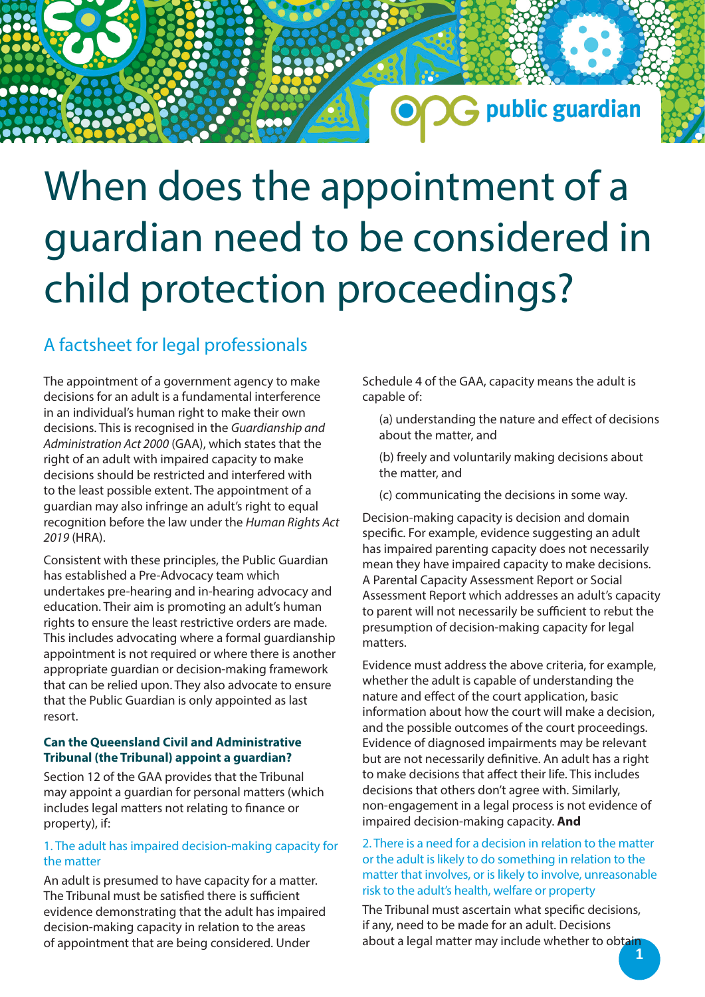## G public guardian

## When does the appointment of a guardian need to be considered in child protection proceedings?

### A factsheet for legal professionals

The appointment of a government agency to make decisions for an adult is a fundamental interference in an individual's human right to make their own decisions. This is recognised in the *Guardianship and Administration Act 2000* (GAA), which states that the right of an adult with impaired capacity to make decisions should be restricted and interfered with to the least possible extent. The appointment of a guardian may also infringe an adult's right to equal recognition before the law under the *Human Rights Act 2019* (HRA).

Consistent with these principles, the Public Guardian has established a Pre-Advocacy team which undertakes pre-hearing and in-hearing advocacy and education. Their aim is promoting an adult's human rights to ensure the least restrictive orders are made. This includes advocating where a formal guardianship appointment is not required or where there is another appropriate guardian or decision-making framework that can be relied upon. They also advocate to ensure that the Public Guardian is only appointed as last resort.

#### **Can the Queensland Civil and Administrative Tribunal (the Tribunal) appoint a guardian?**

Section 12 of the GAA provides that the Tribunal may appoint a guardian for personal matters (which includes legal matters not relating to finance or property), if:

### 1. The adult has impaired decision-making capacity for the matter

An adult is presumed to have capacity for a matter. The Tribunal must be satisfied there is sufficient evidence demonstrating that the adult has impaired decision-making capacity in relation to the areas of appointment that are being considered. Under

Schedule 4 of the GAA, capacity means the adult is capable of:

(a) understanding the nature and effect of decisions about the matter, and

(b) freely and voluntarily making decisions about the matter, and

(c) communicating the decisions in some way.

Decision-making capacity is decision and domain specific. For example, evidence suggesting an adult has impaired parenting capacity does not necessarily mean they have impaired capacity to make decisions. A Parental Capacity Assessment Report or Social Assessment Report which addresses an adult's capacity to parent will not necessarily be sufficient to rebut the presumption of decision-making capacity for legal matters.

Evidence must address the above criteria, for example, whether the adult is capable of understanding the nature and effect of the court application, basic information about how the court will make a decision, and the possible outcomes of the court proceedings. Evidence of diagnosed impairments may be relevant but are not necessarily definitive. An adult has a right to make decisions that affect their life. This includes decisions that others don't agree with. Similarly, non-engagement in a legal process is not evidence of impaired decision-making capacity. **And**

2. There is a need for a decision in relation to the matter or the adult is likely to do something in relation to the matter that involves, or is likely to involve, unreasonable risk to the adult's health, welfare or property

The Tribunal must ascertain what specific decisions, if any, need to be made for an adult. Decisions about a legal matter may include whether to obtain